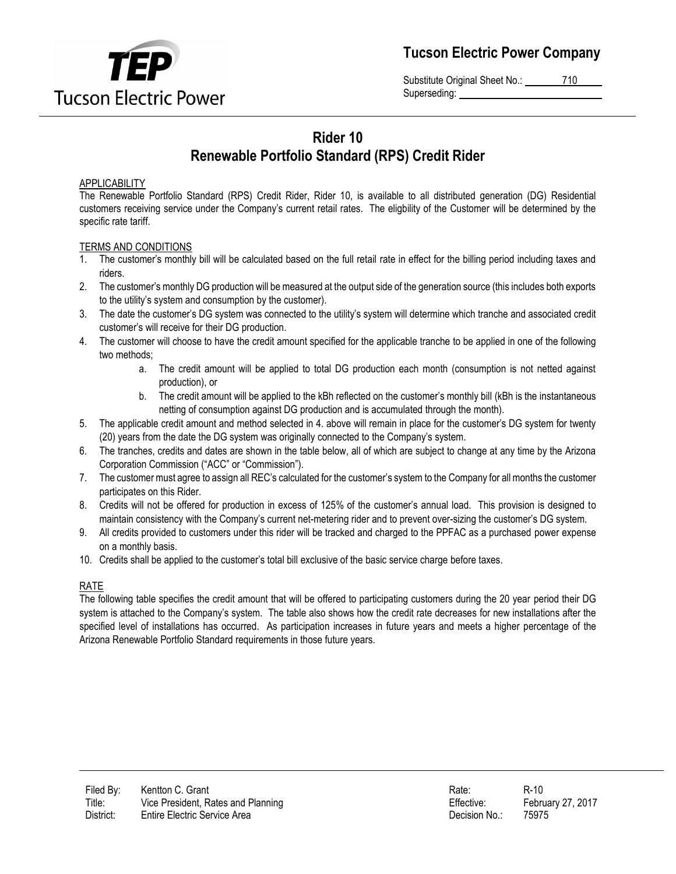

**Tucson Electric Power Company**

Substitute Original Sheet No.: 710 Superseding:

# **Rider 10 Renewable Portfolio Standard (RPS) Credit Rider**

## APPLICABILITY

The Renewable Portfolio Standard (RPS) Credit Rider, Rider 10, is available to all distributed generation (DG) Residential customers receiving service under the Company's current retail rates. The eligbility of the Customer will be determined by the specific rate tariff.

## TERMS AND CONDITIONS

- 1. The customer's monthly bill will be calculated based on the full retail rate in effect for the billing period including taxes and riders.
- 2. The customer's monthly DG production will be measured at the output side of the generation source (this includes both exports to the utility's system and consumption by the customer).
- 3. The date the customer's DG system was connected to the utility's system will determine which tranche and associated credit customer's will receive for their DG production.
- 4. The customer will choose to have the credit amount specified for the applicable tranche to be applied in one of the following two methods;
	- a. The credit amount will be applied to total DG production each month (consumption is not netted against production), or
	- b. The credit amount will be applied to the kBh reflected on the customer's monthly bill (kBh is the instantaneous netting of consumption against DG production and is accumulated through the month).
- 5. The applicable credit amount and method selected in 4. above will remain in place for the customer's DG system for twenty (20) years from the date the DG system was originally connected to the Company's system.
- 6. The tranches, credits and dates are shown in the table below, all of which are subject to change at any time by the Arizona Corporation Commission ("ACC" or "Commission").
- 7. The customer must agree to assign all REC's calculated for the customer's system to the Company for all months the customer participates on this Rider.
- 8. Credits will not be offered for production in excess of 125% of the customer's annual load. This provision is designed to maintain consistency with the Company's current net-metering rider and to prevent over-sizing the customer's DG system.
- 9. All credits provided to customers under this rider will be tracked and charged to the PPFAC as a purchased power expense on a monthly basis.
- 10. Credits shall be applied to the customer's total bill exclusive of the basic service charge before taxes.

## RATE

The following table specifies the credit amount that will be offered to participating customers during the 20 year period their DG system is attached to the Company's system. The table also shows how the credit rate decreases for new installations after the specified level of installations has occurred. As participation increases in future years and meets a higher percentage of the Arizona Renewable Portfolio Standard requirements in those future years.